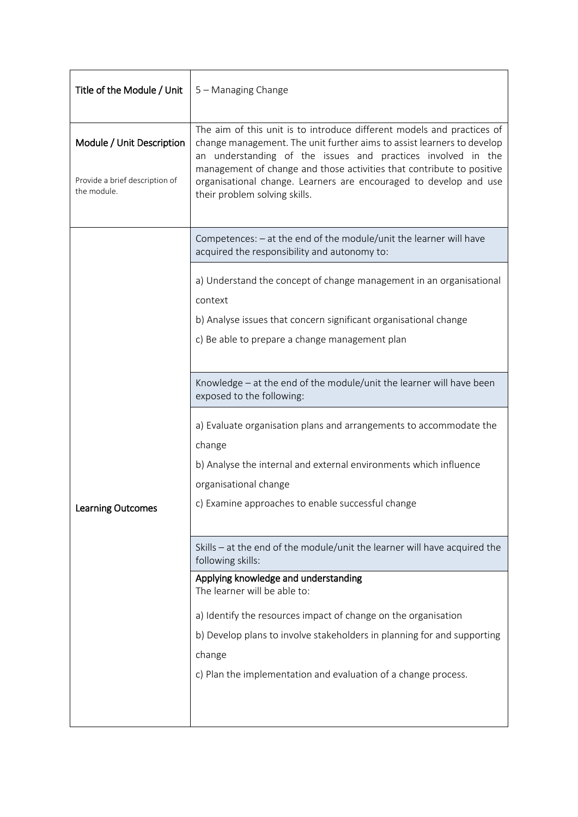| Title of the Module / Unit                                                 | 5 - Managing Change                                                                                                                                                                                                                                                                                                                                                                             |  |  |
|----------------------------------------------------------------------------|-------------------------------------------------------------------------------------------------------------------------------------------------------------------------------------------------------------------------------------------------------------------------------------------------------------------------------------------------------------------------------------------------|--|--|
| Module / Unit Description<br>Provide a brief description of<br>the module. | The aim of this unit is to introduce different models and practices of<br>change management. The unit further aims to assist learners to develop<br>an understanding of the issues and practices involved in the<br>management of change and those activities that contribute to positive<br>organisational change. Learners are encouraged to develop and use<br>their problem solving skills. |  |  |
| Learning Outcomes                                                          | Competences: - at the end of the module/unit the learner will have<br>acquired the responsibility and autonomy to:                                                                                                                                                                                                                                                                              |  |  |
|                                                                            | a) Understand the concept of change management in an organisational<br>context<br>b) Analyse issues that concern significant organisational change<br>c) Be able to prepare a change management plan                                                                                                                                                                                            |  |  |
|                                                                            | Knowledge - at the end of the module/unit the learner will have been<br>exposed to the following:                                                                                                                                                                                                                                                                                               |  |  |
|                                                                            | a) Evaluate organisation plans and arrangements to accommodate the<br>change<br>b) Analyse the internal and external environments which influence<br>organisational change<br>c) Examine approaches to enable successful change                                                                                                                                                                 |  |  |
|                                                                            | Skills - at the end of the module/unit the learner will have acquired the<br>following skills:                                                                                                                                                                                                                                                                                                  |  |  |
|                                                                            | Applying knowledge and understanding<br>The learner will be able to:                                                                                                                                                                                                                                                                                                                            |  |  |
|                                                                            | a) Identify the resources impact of change on the organisation                                                                                                                                                                                                                                                                                                                                  |  |  |
|                                                                            | b) Develop plans to involve stakeholders in planning for and supporting                                                                                                                                                                                                                                                                                                                         |  |  |
|                                                                            | change                                                                                                                                                                                                                                                                                                                                                                                          |  |  |
|                                                                            | c) Plan the implementation and evaluation of a change process.                                                                                                                                                                                                                                                                                                                                  |  |  |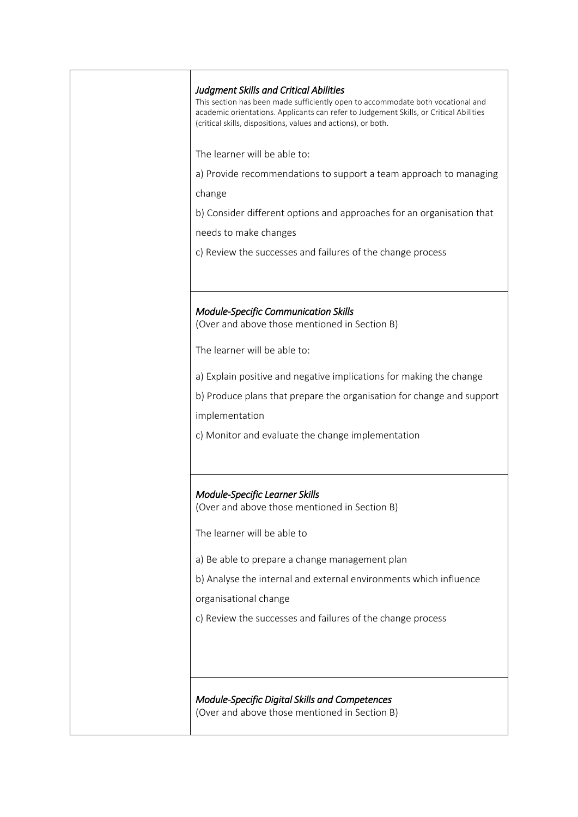| <b>Judgment Skills and Critical Abilities</b><br>This section has been made sufficiently open to accommodate both vocational and<br>academic orientations. Applicants can refer to Judgement Skills, or Critical Abilities<br>(critical skills, dispositions, values and actions), or both. |
|---------------------------------------------------------------------------------------------------------------------------------------------------------------------------------------------------------------------------------------------------------------------------------------------|
| The learner will be able to:                                                                                                                                                                                                                                                                |
| a) Provide recommendations to support a team approach to managing                                                                                                                                                                                                                           |
| change                                                                                                                                                                                                                                                                                      |
| b) Consider different options and approaches for an organisation that                                                                                                                                                                                                                       |
| needs to make changes                                                                                                                                                                                                                                                                       |
| c) Review the successes and failures of the change process                                                                                                                                                                                                                                  |
|                                                                                                                                                                                                                                                                                             |
| <b>Module-Specific Communication Skills</b><br>(Over and above those mentioned in Section B)                                                                                                                                                                                                |
| The learner will be able to:                                                                                                                                                                                                                                                                |
| a) Explain positive and negative implications for making the change                                                                                                                                                                                                                         |
| b) Produce plans that prepare the organisation for change and support                                                                                                                                                                                                                       |
| implementation                                                                                                                                                                                                                                                                              |
| c) Monitor and evaluate the change implementation                                                                                                                                                                                                                                           |
|                                                                                                                                                                                                                                                                                             |
| <b>Module-Specific Learner Skills</b><br>(Over and above those mentioned in Section B)                                                                                                                                                                                                      |
| The learner will be able to                                                                                                                                                                                                                                                                 |
| a) Be able to prepare a change management plan                                                                                                                                                                                                                                              |
| b) Analyse the internal and external environments which influence                                                                                                                                                                                                                           |
| organisational change                                                                                                                                                                                                                                                                       |
| c) Review the successes and failures of the change process                                                                                                                                                                                                                                  |
|                                                                                                                                                                                                                                                                                             |
|                                                                                                                                                                                                                                                                                             |
| Module-Specific Digital Skills and Competences<br>(Over and above those mentioned in Section B)                                                                                                                                                                                             |